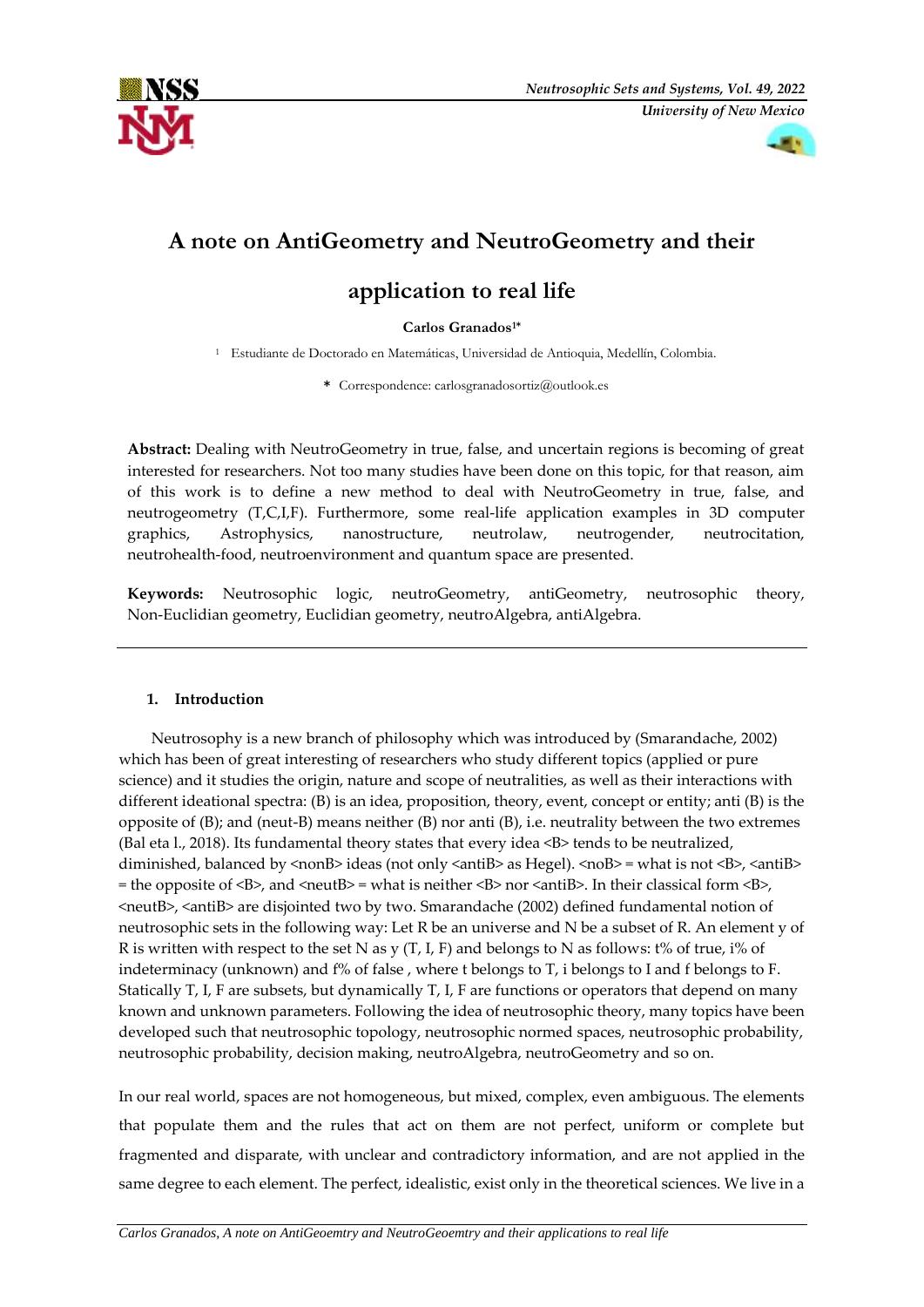



# **A note on AntiGeometry and NeutroGeometry and their**

# **application to real life**

### **Carlos Granados1\***

<sup>1</sup> Estudiante de Doctorado en Matemáticas, Universidad de Antioquia, Medellín, Colombia.

**\*** Correspondence: [carlosgranadosortiz@outlook.es](mailto:carlosgranadosortiz@outlook.es)

**Abstract:** Dealing with NeutroGeometry in true, false, and uncertain regions is becoming of great interested for researchers. Not too many studies have been done on this topic, for that reason, aim of this work is to define a new method to deal with NeutroGeometry in true, false, and neutrogeometry (T,C,I,F). Furthermore, some real-life application examples in 3D computer graphics, Astrophysics, nanostructure, neutrolaw, neutrogender, neutrocitation, neutrohealth-food, neutroenvironment and quantum space are presented.

**Keywords:** Neutrosophic logic, neutroGeometry, antiGeometry, neutrosophic theory, Non-Euclidian geometry, Euclidian geometry, neutroAlgebra, antiAlgebra.

## **1. Introduction**

Neutrosophy is a new branch of philosophy which was introduced by (Smarandache, 2002) which has been of great interesting of researchers who study different topics (applied or pure science) and it studies the origin, nature and scope of neutralities, as well as their interactions with different ideational spectra: (B) is an idea, proposition, theory, event, concept or entity; anti (B) is the opposite of (B); and (neut-B) means neither (B) nor anti (B), i.e. neutrality between the two extremes (Bal eta l., 2018). Its fundamental theory states that every idea <B> tends to be neutralized, diminished, balanced by  $\langle$ nonB $\rangle$  ideas (not only  $\langle$ antiB $\rangle$  as Hegel).  $\langle$ noB $\rangle$  = what is not  $\langle$ B $\rangle$ ,  $\langle$ antiB $\rangle$  $=$  the opposite of  $\langle$ B>, and  $\langle$ neutB> = what is neither  $\langle$ B> nor  $\langle$ antiB>. In their classical form  $\langle$ B>, <neutB>, <antiB> are disjointed two by two. Smarandache (2002) defined fundamental notion of neutrosophic sets in the following way: Let R be an universe and N be a subset of R. An element y of R is written with respect to the set N as y  $(T, I, F)$  and belongs to N as follows: t% of true, i% of indeterminacy (unknown) and f% of false , where t belongs to T, i belongs to I and f belongs to F. Statically T, I, F are subsets, but dynamically T, I, F are functions or operators that depend on many known and unknown parameters. Following the idea of neutrosophic theory, many topics have been developed such that neutrosophic topology, neutrosophic normed spaces, neutrosophic probability, neutrosophic probability, decision making, neutroAlgebra, neutroGeometry and so on.

In our real world, spaces are not homogeneous, but mixed, complex, even ambiguous. The elements that populate them and the rules that act on them are not perfect, uniform or complete but fragmented and disparate, with unclear and contradictory information, and are not applied in the same degree to each element. The perfect, idealistic, exist only in the theoretical sciences. We live in a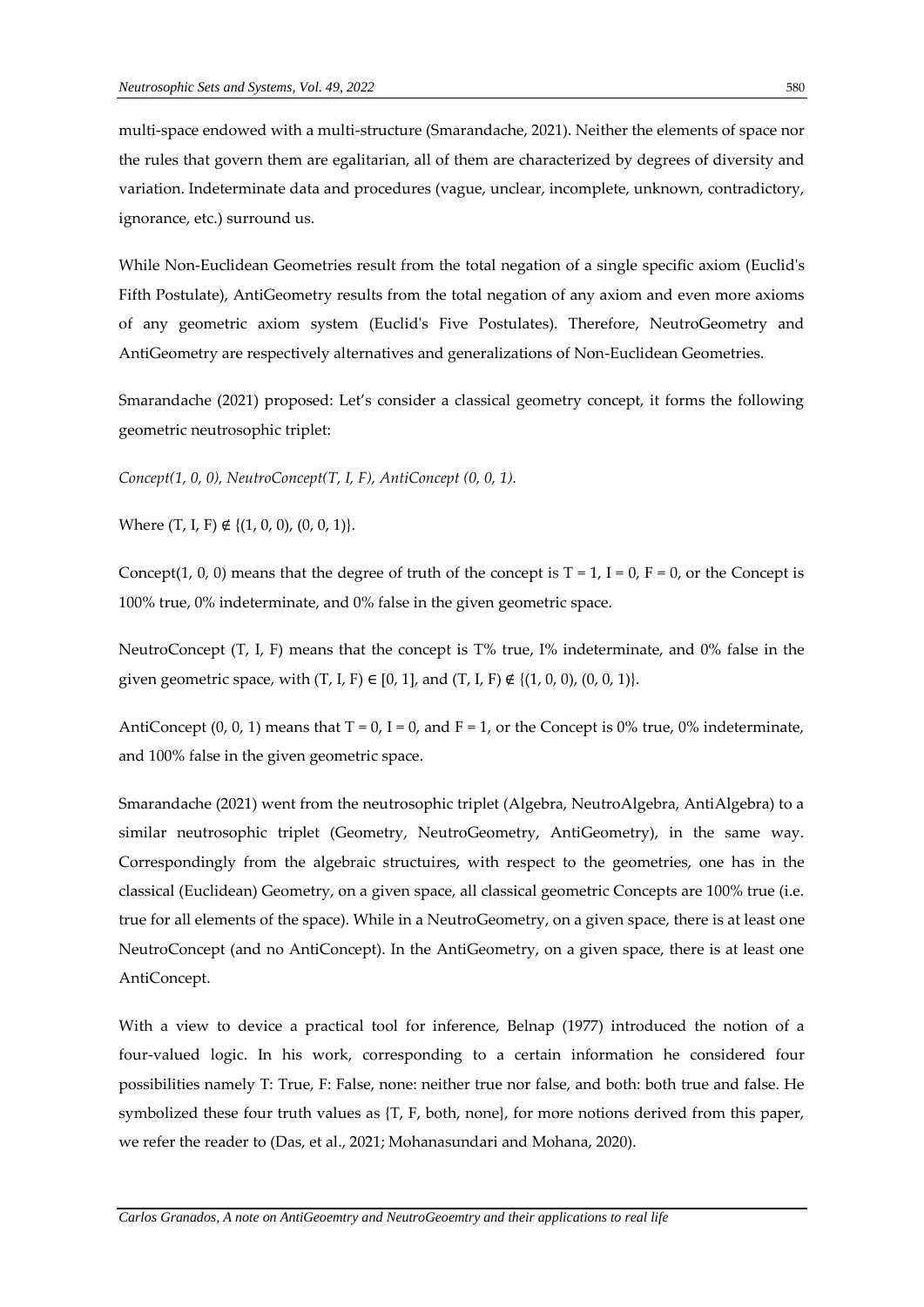multi-space endowed with a multi-structure (Smarandache, 2021). Neither the elements of space nor the rules that govern them are egalitarian, all of them are characterized by degrees of diversity and variation. Indeterminate data and procedures (vague, unclear, incomplete, unknown, contradictory, ignorance, etc.) surround us.

While Non-Euclidean Geometries result from the total negation of a single specific axiom (Euclid's Fifth Postulate), AntiGeometry results from the total negation of any axiom and even more axioms of any geometric axiom system (Euclid's Five Postulates). Therefore, NeutroGeometry and AntiGeometry are respectively alternatives and generalizations of Non-Euclidean Geometries.

Smarandache (2021) proposed: Let's consider a classical geometry concept, it forms the following geometric neutrosophic triplet:

*Concept(1, 0, 0), NeutroConcept(T, I, F), AntiConcept (0, 0, 1).*

Where  $(T, I, F) \notin \{(1, 0, 0), (0, 0, 1)\}.$ 

Concept(1, 0, 0) means that the degree of truth of the concept is  $T = 1$ ,  $I = 0$ ,  $F = 0$ , or the Concept is 100% true, 0% indeterminate, and 0% false in the given geometric space.

NeutroConcept (T, I, F) means that the concept is T% true, I% indeterminate, and 0% false in the given geometric space, with  $(T, I, F) \in [0, 1]$ , and  $(T, I, F) \notin \{(1, 0, 0), (0, 0, 1)\}.$ 

AntiConcept  $(0, 0, 1)$  means that T = 0, I = 0, and F = 1, or the Concept is 0% true, 0% indeterminate, and 100% false in the given geometric space.

Smarandache (2021) went from the neutrosophic triplet (Algebra, NeutroAlgebra, AntiAlgebra) to a similar neutrosophic triplet (Geometry, NeutroGeometry, AntiGeometry), in the same way. Correspondingly from the algebraic structuires, with respect to the geometries, one has in the classical (Euclidean) Geometry, on a given space, all classical geometric Concepts are 100% true (i.e. true for all elements of the space). While in a NeutroGeometry, on a given space, there is at least one NeutroConcept (and no AntiConcept). In the AntiGeometry, on a given space, there is at least one AntiConcept.

With a view to device a practical tool for inference, Belnap (1977) introduced the notion of a four-valued logic. In his work, corresponding to a certain information he considered four possibilities namely T: True, F: False, none: neither true nor false, and both: both true and false. He symbolized these four truth values as {T, F, both, none}, for more notions derived from this paper, we refer the reader to (Das, et al., 2021; Mohanasundari and Mohana, 2020).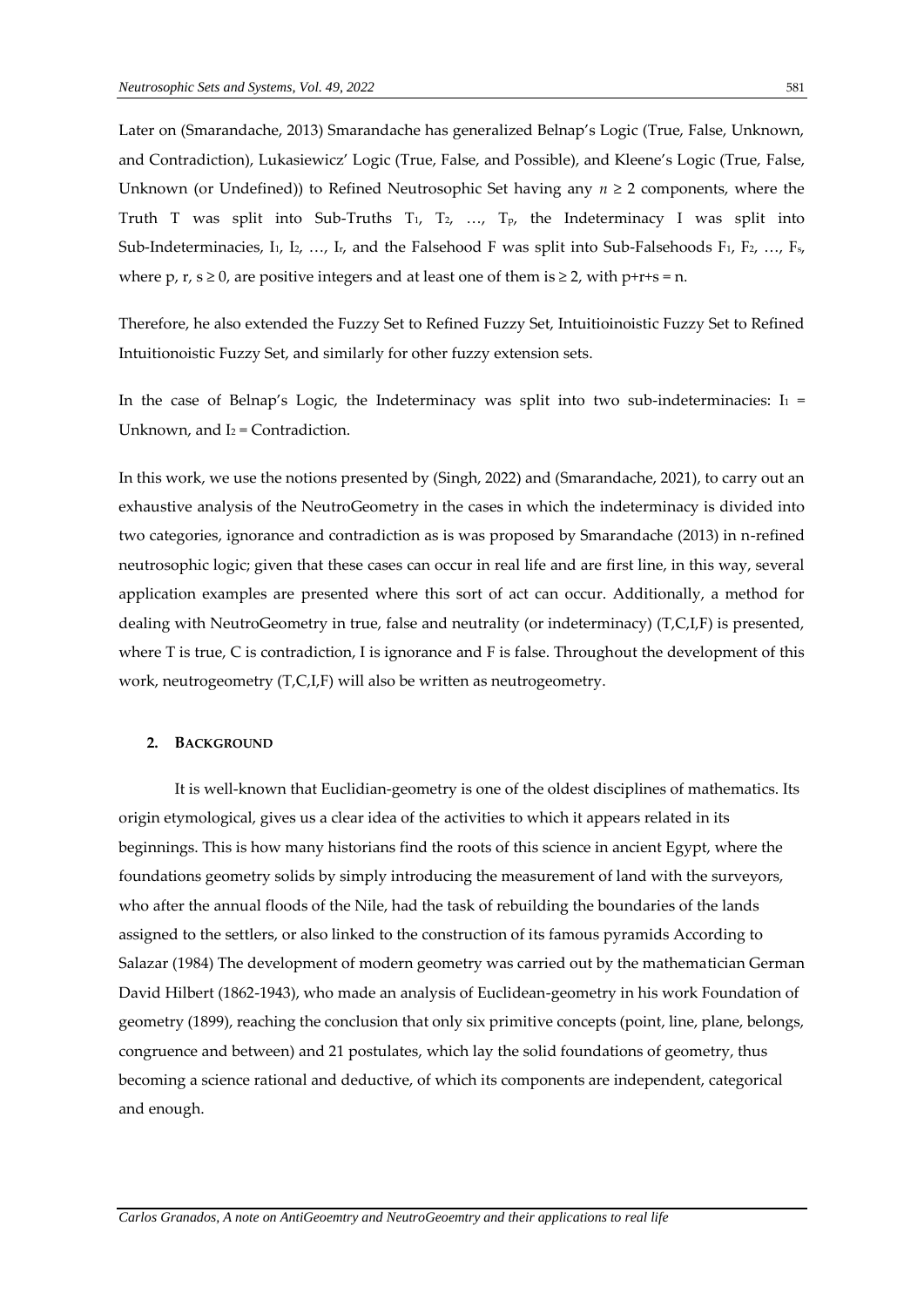Later on (Smarandache, 2013) Smarandache has generalized Belnap's Logic (True, False, Unknown, and Contradiction), Lukasiewicz' Logic (True, False, and Possible), and Kleene's Logic (True, False, Unknown (or Undefined)) to Refined Neutrosophic Set having any *n* ≥ 2 components, where the Truth T was split into Sub-Truths T<sub>1</sub>, T<sub>2</sub>, ..., T<sub>p</sub>, the Indeterminacy I was split into Sub-Indeterminacies, I<sub>1</sub>, I<sub>2</sub>, …, I<sub>r</sub>, and the Falsehood F was split into Sub-Falsehoods F<sub>1</sub>, F<sub>2</sub>, …, F<sub>5</sub>, where p, r,  $s \ge 0$ , are positive integers and at least one of them is  $\ge 2$ , with p+r+s = n.

Therefore, he also extended the Fuzzy Set to Refined Fuzzy Set, Intuitioinoistic Fuzzy Set to Refined Intuitionoistic Fuzzy Set, and similarly for other fuzzy extension sets.

In the case of Belnap's Logic, the Indeterminacy was split into two sub-indeterminacies:  $I_1$  = Unknown, and  $I_2$  = Contradiction.

In this work, we use the notions presented by (Singh, 2022) and (Smarandache, 2021), to carry out an exhaustive analysis of the NeutroGeometry in the cases in which the indeterminacy is divided into two categories, ignorance and contradiction as is was proposed by Smarandache (2013) in n-refined neutrosophic logic; given that these cases can occur in real life and are first line, in this way, several application examples are presented where this sort of act can occur. Additionally, a method for dealing with NeutroGeometry in true, false and neutrality (or indeterminacy) (T,C,I,F) is presented, where T is true, C is contradiction, I is ignorance and F is false. Throughout the development of this work, neutrogeometry (T,C,I,F) will also be written as neutrogeometry.

#### **2. BACKGROUND**

It is well-known that Euclidian-geometry is one of the oldest disciplines of mathematics. Its origin etymological, gives us a clear idea of the activities to which it appears related in its beginnings. This is how many historians find the roots of this science in ancient Egypt, where the foundations geometry solids by simply introducing the measurement of land with the surveyors, who after the annual floods of the Nile, had the task of rebuilding the boundaries of the lands assigned to the settlers, or also linked to the construction of its famous pyramids According to Salazar (1984) The development of modern geometry was carried out by the mathematician German David Hilbert (1862-1943), who made an analysis of Euclidean-geometry in his work Foundation of geometry (1899), reaching the conclusion that only six primitive concepts (point, line, plane, belongs, congruence and between) and 21 postulates, which lay the solid foundations of geometry, thus becoming a science rational and deductive, of which its components are independent, categorical and enough.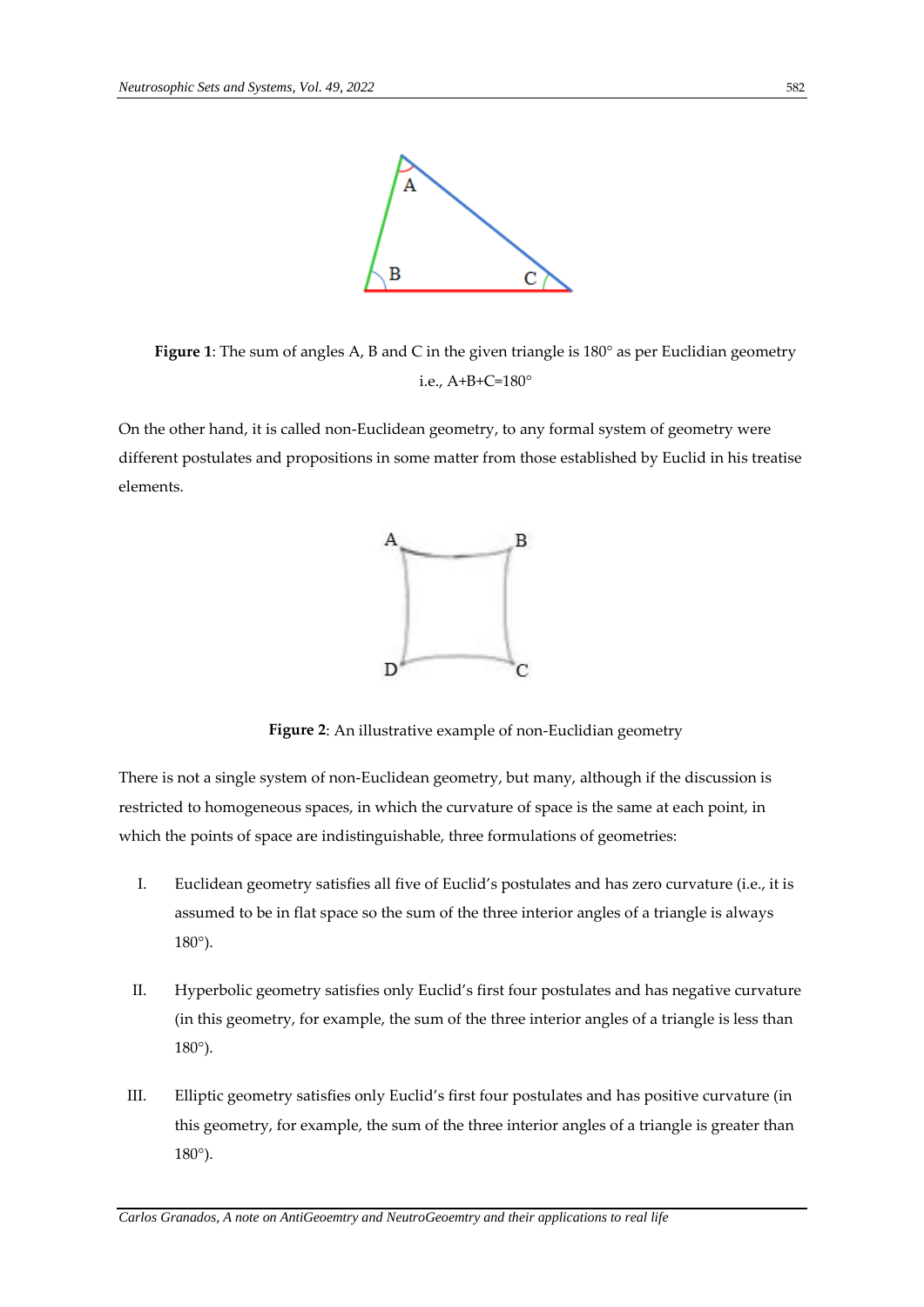

**Figure 1**: The sum of angles A, B and C in the given triangle is 180° as per Euclidian geometry i.e., A+B+C=180°

On the other hand, it is called non-Euclidean geometry, to any formal system of geometry were different postulates and propositions in some matter from those established by Euclid in his treatise elements.



**Figure 2**: An illustrative example of non-Euclidian geometry

There is not a single system of non-Euclidean geometry, but many, although if the discussion is restricted to homogeneous spaces, in which the curvature of space is the same at each point, in which the points of space are indistinguishable, three formulations of geometries:

- I. Euclidean geometry satisfies all five of Euclid's postulates and has zero curvature (i.e., it is assumed to be in flat space so the sum of the three interior angles of a triangle is always 180°).
- II. Hyperbolic geometry satisfies only Euclid's first four postulates and has negative curvature (in this geometry, for example, the sum of the three interior angles of a triangle is less than 180°).
- III. Elliptic geometry satisfies only Euclid's first four postulates and has positive curvature (in this geometry, for example, the sum of the three interior angles of a triangle is greater than 180°).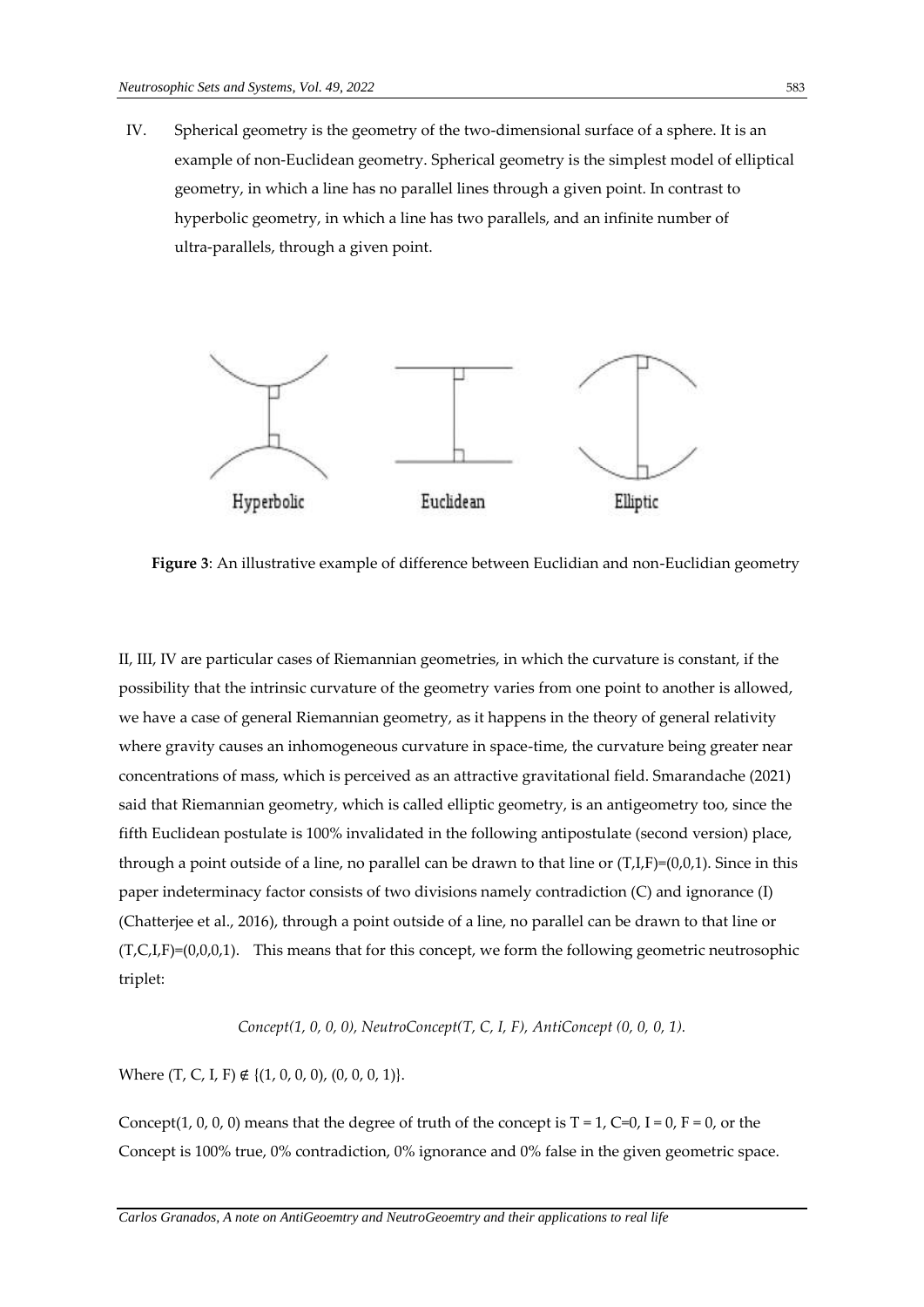IV. Spherical geometry is the geometry of the two-dimensional surface of a sphere. It is an example of non-Euclidean geometry. Spherical geometry is the simplest model of elliptical geometry, in which a line has no parallel lines through a given point. In contrast to hyperbolic geometry, in which a line has two parallels, and an infinite number of ultra-parallels, through a given point.



**Figure 3**: An illustrative example of difference between Euclidian and non-Euclidian geometry

II, III, IV are particular cases of Riemannian geometries, in which the curvature is constant, if the possibility that the intrinsic curvature of the geometry varies from one point to another is allowed, we have a case of general Riemannian geometry, as it happens in the theory of general relativity where gravity causes an inhomogeneous curvature in space-time, the curvature being greater near concentrations of mass, which is perceived as an attractive gravitational field. Smarandache (2021) said that Riemannian geometry, which is called elliptic geometry, is an antigeometry too, since the fifth Euclidean postulate is 100% invalidated in the following antipostulate (second version) place, through a point outside of a line, no parallel can be drawn to that line or  $(T,I,F)=(0,0,1)$ . Since in this paper indeterminacy factor consists of two divisions namely contradiction (C) and ignorance (I) (Chatterjee et al., 2016), through a point outside of a line, no parallel can be drawn to that line or  $(T, C, I, F)=(0,0,0,1)$ . This means that for this concept, we form the following geometric neutrosophic triplet:

*Concept(1, 0, 0, 0), NeutroConcept(T, C, I, F), AntiConcept (0, 0, 0, 1).*

Where  $(T, C, I, F) \notin \{(1, 0, 0, 0), (0, 0, 0, 1)\}.$ 

Concept(1, 0, 0, 0) means that the degree of truth of the concept is  $T = 1$ ,  $C=0$ ,  $I = 0$ ,  $F = 0$ , or the Concept is 100% true, 0% contradiction, 0% ignorance and 0% false in the given geometric space.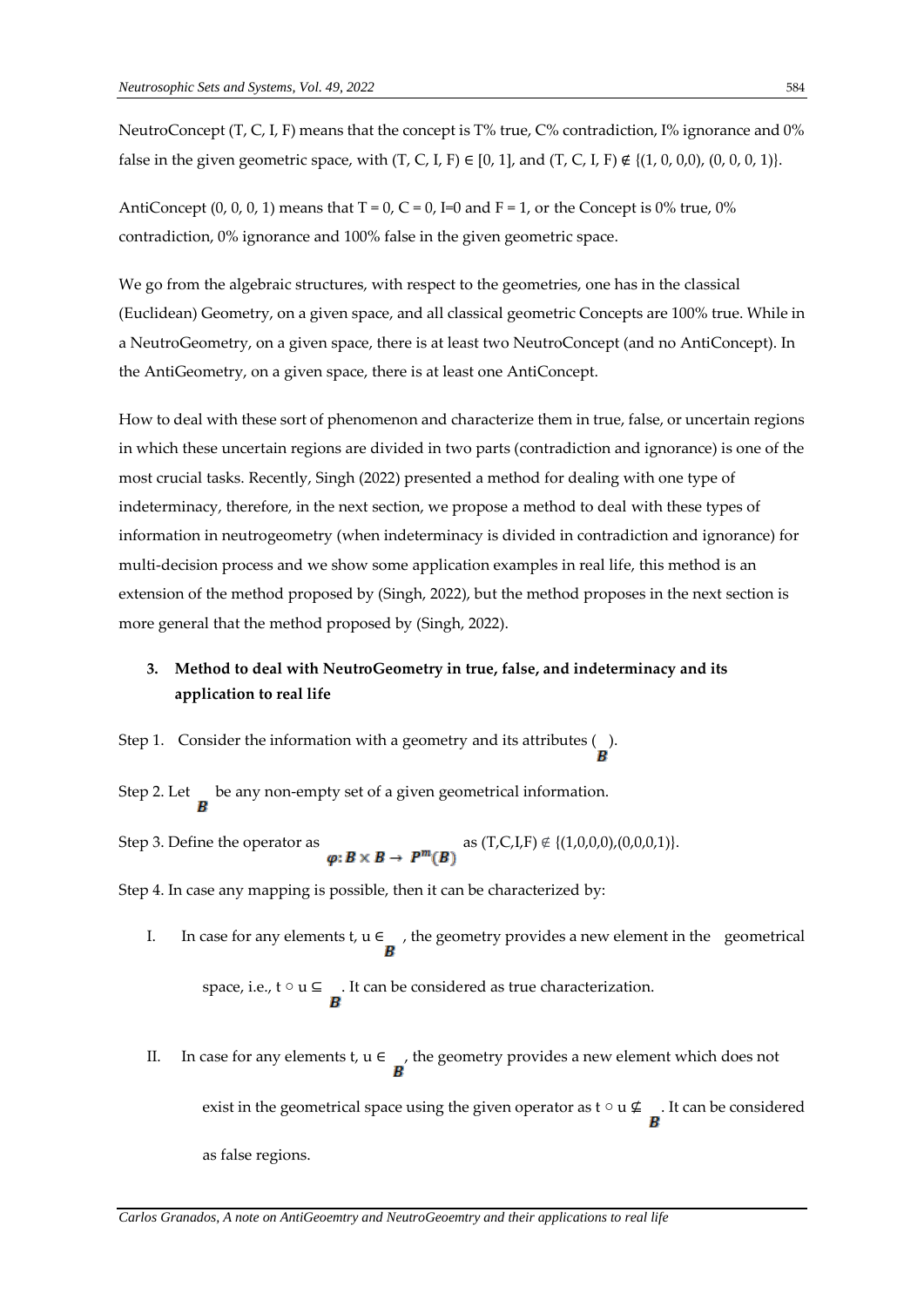NeutroConcept (T, C, I, F) means that the concept is T% true, C% contradiction, I% ignorance and 0% false in the given geometric space, with  $(T, C, I, F) \in [0, 1]$ , and  $(T, C, I, F) \notin \{(1, 0, 0, 0), (0, 0, 0, 1)\}.$ 

AntiConcept (0, 0, 0, 1) means that  $T = 0$ ,  $C = 0$ ,  $I=0$  and  $F = 1$ , or the Concept is 0% true, 0% contradiction, 0% ignorance and 100% false in the given geometric space.

We go from the algebraic structures, with respect to the geometries, one has in the classical (Euclidean) Geometry, on a given space, and all classical geometric Concepts are 100% true. While in a NeutroGeometry, on a given space, there is at least two NeutroConcept (and no AntiConcept). In the AntiGeometry, on a given space, there is at least one AntiConcept.

How to deal with these sort of phenomenon and characterize them in true, false, or uncertain regions in which these uncertain regions are divided in two parts (contradiction and ignorance) is one of the most crucial tasks. Recently, Singh (2022) presented a method for dealing with one type of indeterminacy, therefore, in the next section, we propose a method to deal with these types of information in neutrogeometry (when indeterminacy is divided in contradiction and ignorance) for multi-decision process and we show some application examples in real life, this method is an extension of the method proposed by (Singh, 2022), but the method proposes in the next section is more general that the method proposed by (Singh, 2022).

## **3. Method to deal with NeutroGeometry in true, false, and indeterminacy and its application to real life**

Step 1. Consider the information with a geometry and its attributes  $\binom{1}{k}$ .

Step 2. Let  $\mathbf{b}$  be any non-empty set of a given geometrical information.

Step 3. Define the operator as  $\boldsymbol{\varphi}: \boldsymbol{B} \times \boldsymbol{B} \to \boldsymbol{P}^m(\boldsymbol{B})$  as  $(T, C, I, F) \notin \{(1, 0, 0, 0), (0, 0, 0, 1)\}.$ 

Step 4. In case any mapping is possible, then it can be characterized by:

- I. In case for any elements t,  $u \in \mathbb{R}$ , the geometry provides a new element in the geometrical space, i.e.,  $t \circ u \subseteq$  . It can be considered as true characterization.
- II. In case for any elements t,  $u \in \mathbf{R}$ , the geometry provides a new element which does not exist in the geometrical space using the given operator as  $t \circ u \nsubseteq$ . It can be considered as false regions.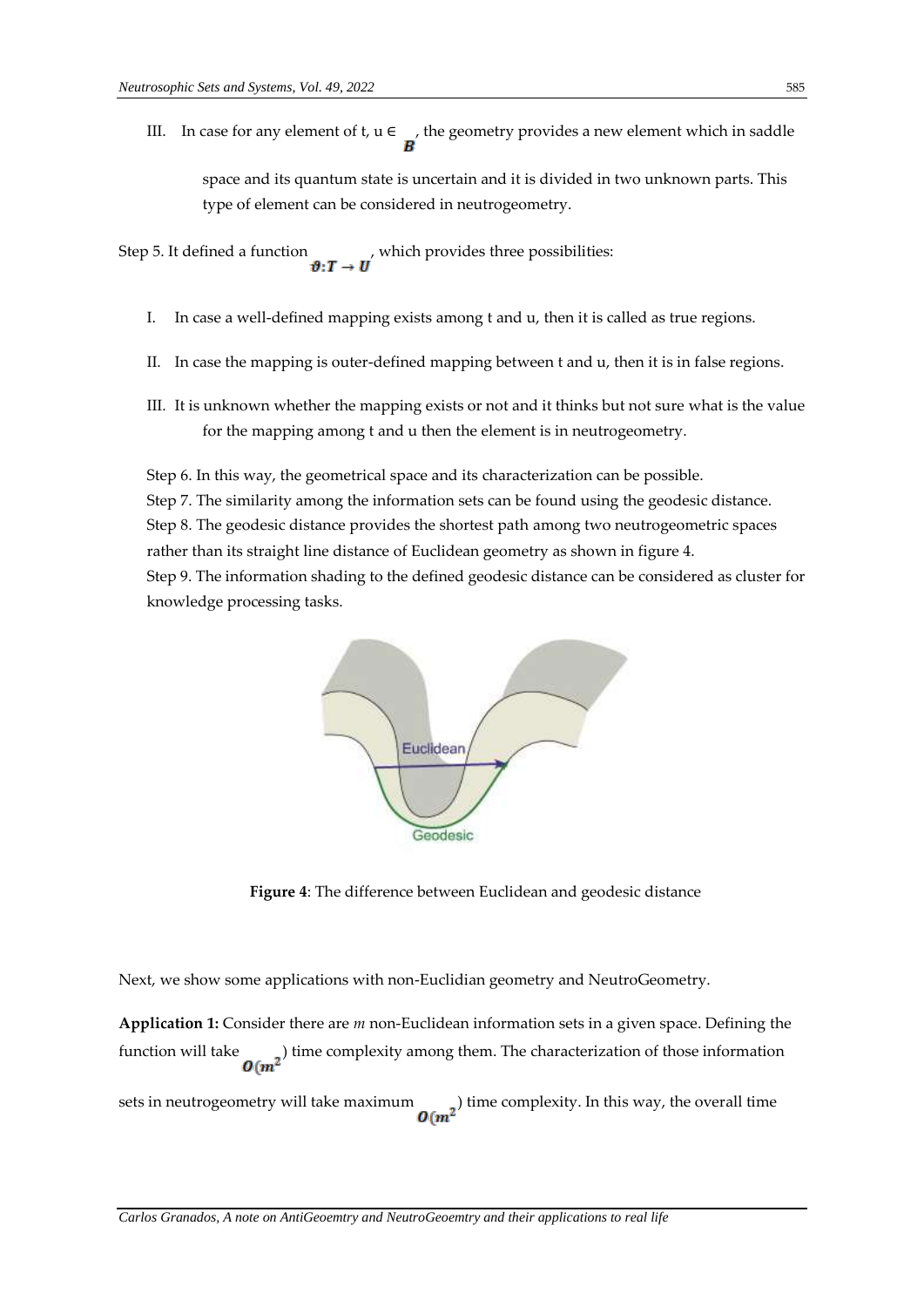III. In case for any element of t,  $u \in \mathcal{L}$ , the geometry provides a new element which in saddle space and its quantum state is uncertain and it is divided in two unknown parts. This type of element can be considered in neutrogeometry.

Step 5. It defined a function  $\boldsymbol{v}: \boldsymbol{T} \to \boldsymbol{U}$ , which provides three possibilities:

- I. In case a well-defined mapping exists among t and u, then it is called as true regions.
- II. In case the mapping is outer-defined mapping between t and u, then it is in false regions.
- III. It is unknown whether the mapping exists or not and it thinks but not sure what is the value for the mapping among t and u then the element is in neutrogeometry.

Step 6. In this way, the geometrical space and its characterization can be possible. Step 7. The similarity among the information sets can be found using the geodesic distance. Step 8. The geodesic distance provides the shortest path among two neutrogeometric spaces rather than its straight line distance of Euclidean geometry as shown in figure 4. Step 9. The information shading to the defined geodesic distance can be considered as cluster for knowledge processing tasks.



**Figure 4**: The difference between Euclidean and geodesic distance

Next, we show some applications with non-Euclidian geometry and NeutroGeometry.

**Application 1:** Consider there are *m* non-Euclidean information sets in a given space. Defining the function will take  $\sigma(m^2)$  time complexity among them. The characterization of those information

sets in neutrogeometry will take maximum  $\Omega(m^2)$  time complexity. In this way, the overall time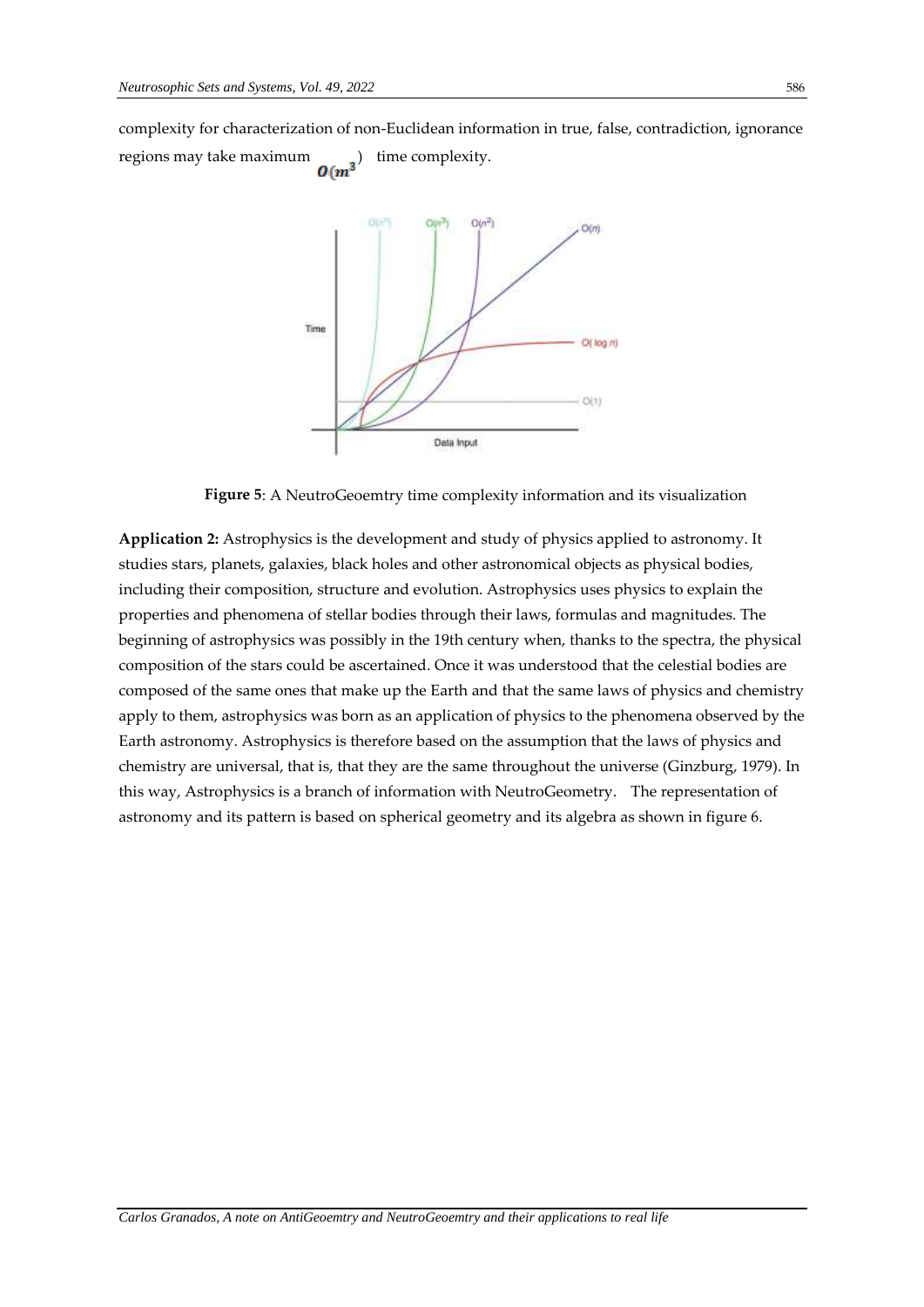complexity for characterization of non-Euclidean information in true, false, contradiction, ignorance regions may take maximum  $O(m^3)$  time complexity. regions may take maximum



**Figure 5**: A NeutroGeoemtry time complexity information and its visualization

**Application 2:** Astrophysics is the development and study of physics applied to astronomy. It studies stars, planets, galaxies, black holes and other astronomical objects as physical bodies, including their composition, structure and evolution. Astrophysics uses physics to explain the properties and phenomena of stellar bodies through their laws, formulas and magnitudes. The beginning of astrophysics was possibly in the 19th century when, thanks to the spectra, the physical composition of the stars could be ascertained. Once it was understood that the celestial bodies are composed of the same ones that make up the Earth and that the same laws of physics and chemistry apply to them, astrophysics was born as an application of physics to the phenomena observed by the Earth astronomy. Astrophysics is therefore based on the assumption that the laws of physics and chemistry are universal, that is, that they are the same throughout the universe (Ginzburg, 1979). In this way, Astrophysics is a branch of information with NeutroGeometry. The representation of astronomy and its pattern is based on spherical geometry and its algebra as shown in figure 6.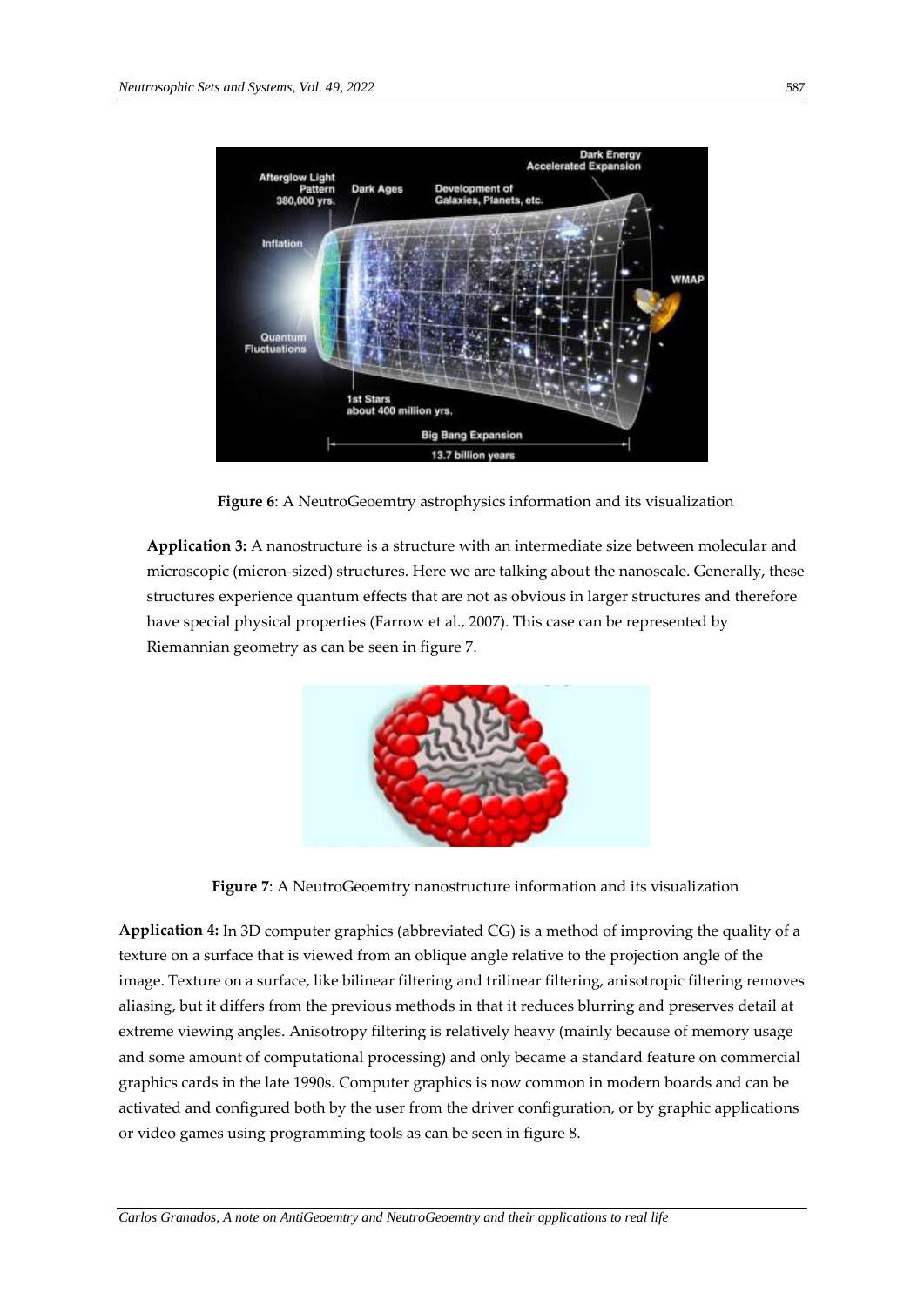

**Figure 6**: A NeutroGeoemtry astrophysics information and its visualization

**Application 3:** A nanostructure is a structure with an intermediate size between molecular and microscopic (micron-sized) structures. Here we are talking about the nanoscale. Generally, these structures experience quantum effects that are not as obvious in larger structures and therefore have special physical properties (Farrow et al., 2007). This case can be represented by Riemannian geometry as can be seen in figure 7.



**Figure 7**: A NeutroGeoemtry nanostructure information and its visualization

**Application 4:** In 3D computer graphics (abbreviated CG) is a method of improving the quality of a texture on a surface that is viewed from an oblique angle relative to the projection angle of the image. Texture on a surface, like bilinear filtering and trilinear filtering, anisotropic filtering removes aliasing, but it differs from the previous methods in that it reduces blurring and preserves detail at extreme viewing angles. Anisotropy filtering is relatively heavy (mainly because of memory usage and some amount of computational processing) and only became a standard feature on commercial graphics cards in the late 1990s. Computer graphics is now common in modern boards and can be activated and configured both by the user from the driver configuration, or by graphic applications or video games using programming tools as can be seen in figure 8.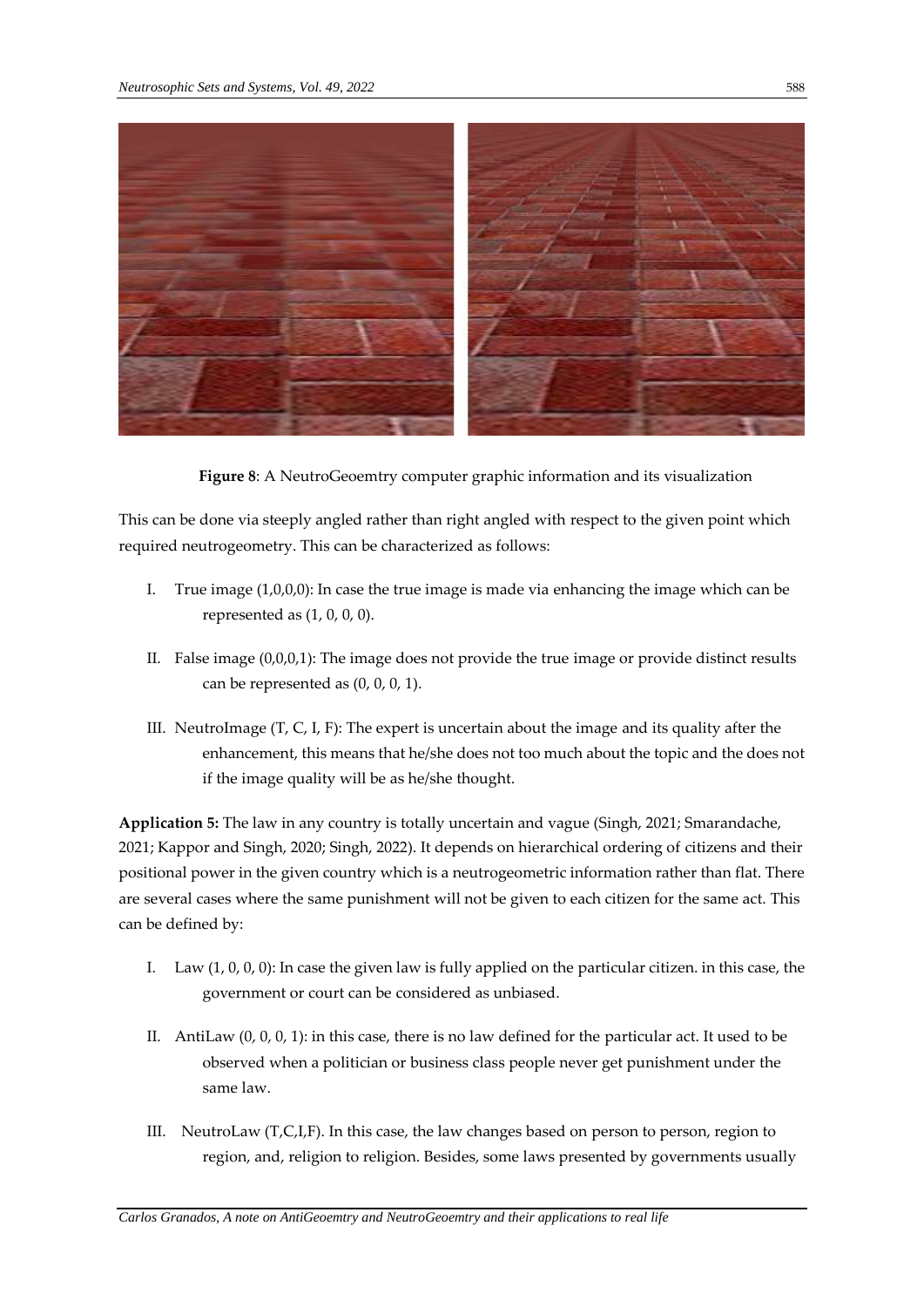

**Figure 8**: A NeutroGeoemtry computer graphic information and its visualization

This can be done via steeply angled rather than right angled with respect to the given point which required neutrogeometry. This can be characterized as follows:

- I. True image  $(1,0,0,0)$ : In case the true image is made via enhancing the image which can be represented as (1, 0, 0, 0).
- II. False image (0,0,0,1): The image does not provide the true image or provide distinct results can be represented as  $(0, 0, 0, 1)$ .
- III. NeutroImage (T, C, I, F): The expert is uncertain about the image and its quality after the enhancement, this means that he/she does not too much about the topic and the does not if the image quality will be as he/she thought.

**Application 5:** The law in any country is totally uncertain and vague (Singh, 2021; Smarandache, 2021; Kappor and Singh, 2020; Singh, 2022). It depends on hierarchical ordering of citizens and their positional power in the given country which is a neutrogeometric information rather than flat. There are several cases where the same punishment will not be given to each citizen for the same act. This can be defined by:

- I. Law (1, 0, 0, 0): In case the given law is fully applied on the particular citizen. in this case, the government or court can be considered as unbiased.
- II. AntiLaw (0, 0, 0, 1): in this case, there is no law defined for the particular act. It used to be observed when a politician or business class people never get punishment under the same law.
- III. NeutroLaw (T,C,I,F). In this case, the law changes based on person to person, region to region, and, religion to religion. Besides, some laws presented by governments usually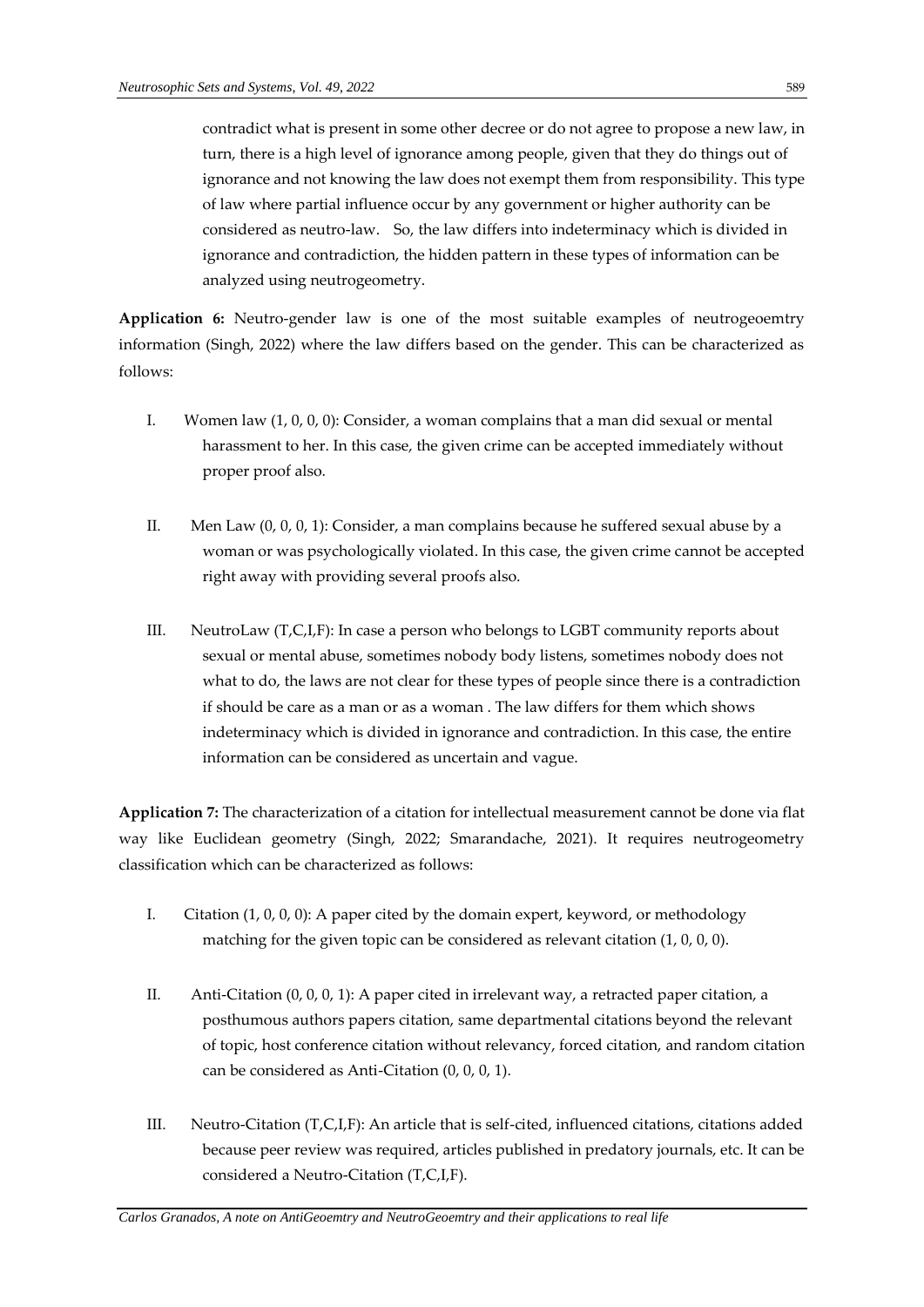contradict what is present in some other decree or do not agree to propose a new law, in turn, there is a high level of ignorance among people, given that they do things out of ignorance and not knowing the law does not exempt them from responsibility. This type of law where partial influence occur by any government or higher authority can be considered as neutro-law. So, the law differs into indeterminacy which is divided in ignorance and contradiction, the hidden pattern in these types of information can be analyzed using neutrogeometry.

**Application 6:** Neutro-gender law is one of the most suitable examples of neutrogeoemtry information (Singh, 2022) where the law differs based on the gender. This can be characterized as follows:

- I. Women law (1, 0, 0, 0): Consider, a woman complains that a man did sexual or mental harassment to her. In this case, the given crime can be accepted immediately without proper proof also.
- II. Men Law (0, 0, 0, 1): Consider, a man complains because he suffered sexual abuse by a woman or was psychologically violated. In this case, the given crime cannot be accepted right away with providing several proofs also.
- III. NeutroLaw (T,C,I,F): In case a person who belongs to LGBT community reports about sexual or mental abuse, sometimes nobody body listens, sometimes nobody does not what to do, the laws are not clear for these types of people since there is a contradiction if should be care as a man or as a woman . The law differs for them which shows indeterminacy which is divided in ignorance and contradiction. In this case, the entire information can be considered as uncertain and vague.

**Application 7:** The characterization of a citation for intellectual measurement cannot be done via flat way like Euclidean geometry (Singh, 2022; Smarandache, 2021). It requires neutrogeometry classification which can be characterized as follows:

- I. Citation (1, 0, 0, 0): A paper cited by the domain expert, keyword, or methodology matching for the given topic can be considered as relevant citation (1, 0, 0, 0).
- II. Anti-Citation (0, 0, 0, 1): A paper cited in irrelevant way, a retracted paper citation, a posthumous authors papers citation, same departmental citations beyond the relevant of topic, host conference citation without relevancy, forced citation, and random citation can be considered as Anti-Citation (0, 0, 0, 1).
- III. Neutro-Citation (T,C,I,F): An article that is self-cited, influenced citations, citations added because peer review was required, articles published in predatory journals, etc. It can be considered a Neutro-Citation (T,C,I,F).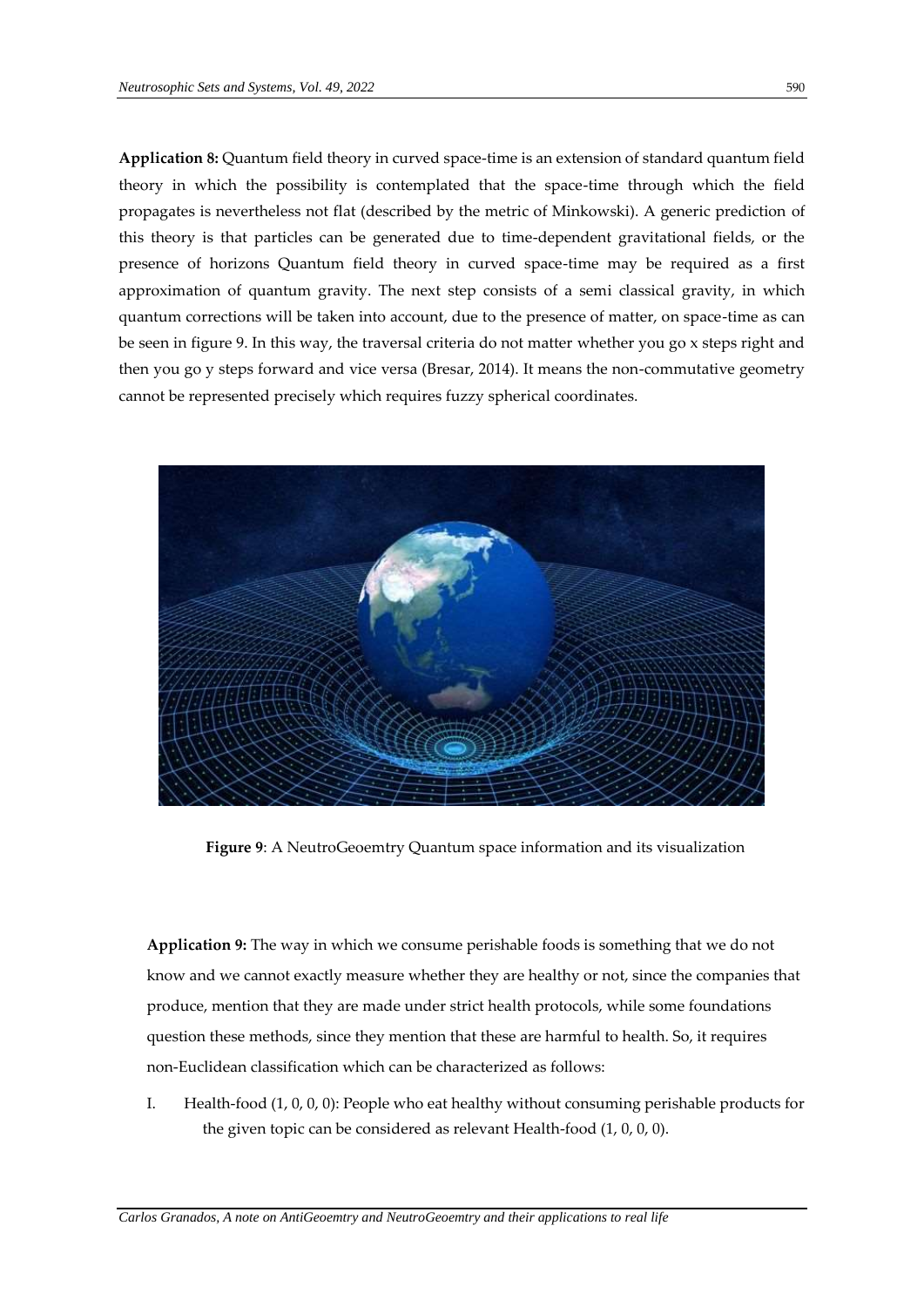**Application 8:** Quantum field theory in curved space-time is an extension of standard quantum field theory in which the possibility is contemplated that the space-time through which the field propagates is nevertheless not flat (described by the metric of Minkowski). A generic prediction of this theory is that particles can be generated due to time-dependent gravitational fields, or the presence of horizons Quantum field theory in curved space-time may be required as a first approximation of quantum gravity. The next step consists of a semi classical gravity, in which quantum corrections will be taken into account, due to the presence of matter, on space-time as can be seen in figure 9. In this way, the traversal criteria do not matter whether you go x steps right and then you go y steps forward and vice versa (Bresar, 2014). It means the non-commutative geometry cannot be represented precisely which requires fuzzy spherical coordinates.



**Figure 9**: A NeutroGeoemtry Quantum space information and its visualization

**Application 9:** The way in which we consume perishable foods is something that we do not know and we cannot exactly measure whether they are healthy or not, since the companies that produce, mention that they are made under strict health protocols, while some foundations question these methods, since they mention that these are harmful to health. So, it requires non-Euclidean classification which can be characterized as follows:

I. Health-food (1, 0, 0, 0): People who eat healthy without consuming perishable products for the given topic can be considered as relevant Health-food (1, 0, 0, 0).

*Carlos Granados, A note on AntiGeoemtry and NeutroGeoemtry and their applications to real life*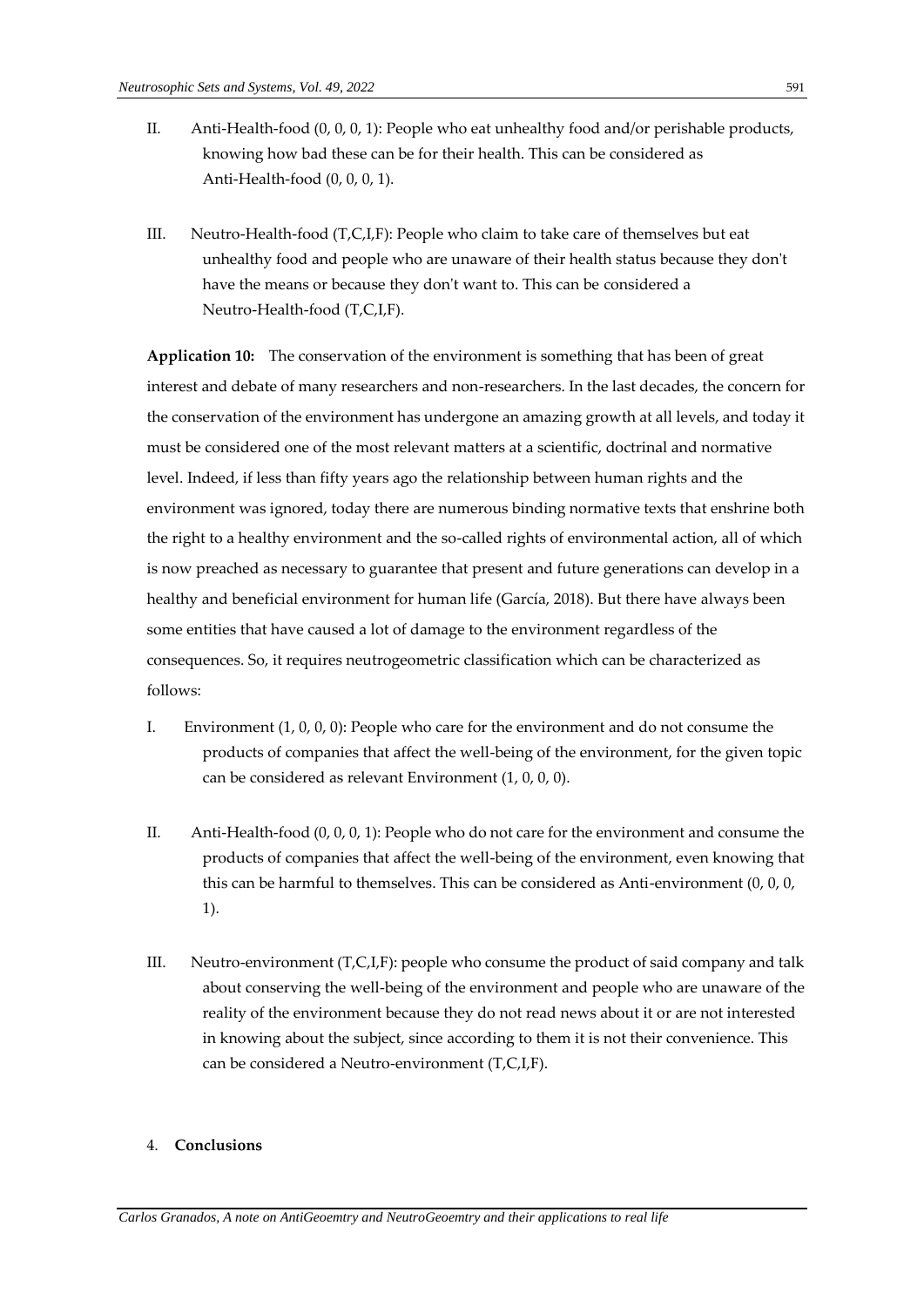- II. Anti-Health-food (0, 0, 0, 1): People who eat unhealthy food and/or perishable products, knowing how bad these can be for their health. This can be considered as Anti-Health-food (0, 0, 0, 1).
- III. Neutro-Health-food (T,C,I,F): People who claim to take care of themselves but eat unhealthy food and people who are unaware of their health status because they don't have the means or because they don't want to. This can be considered a Neutro-Health-food (T,C,I,F).

**Application 10:** The conservation of the environment is something that has been of great interest and debate of many researchers and non-researchers. In the last decades, the concern for the conservation of the environment has undergone an amazing growth at all levels, and today it must be considered one of the most relevant matters at a scientific, doctrinal and normative level. Indeed, if less than fifty years ago the relationship between human rights and the environment was ignored, today there are numerous binding normative texts that enshrine both the right to a healthy environment and the so-called rights of environmental action, all of which is now preached as necessary to guarantee that present and future generations can develop in a healthy and beneficial environment for human life (García, 2018). But there have always been some entities that have caused a lot of damage to the environment regardless of the consequences. So, it requires neutrogeometric classification which can be characterized as follows:

- I. Environment (1, 0, 0, 0): People who care for the environment and do not consume the products of companies that affect the well-being of the environment, for the given topic can be considered as relevant Environment (1, 0, 0, 0).
- II. Anti-Health-food (0, 0, 0, 1): People who do not care for the environment and consume the products of companies that affect the well-being of the environment, even knowing that this can be harmful to themselves. This can be considered as Anti-environment (0, 0, 0, 1).
- III. Neutro-environment (T,C,I,F): people who consume the product of said company and talk about conserving the well-being of the environment and people who are unaware of the reality of the environment because they do not read news about it or are not interested in knowing about the subject, since according to them it is not their convenience. This can be considered a Neutro-environment (T,C,I,F).

### 4. **Conclusions**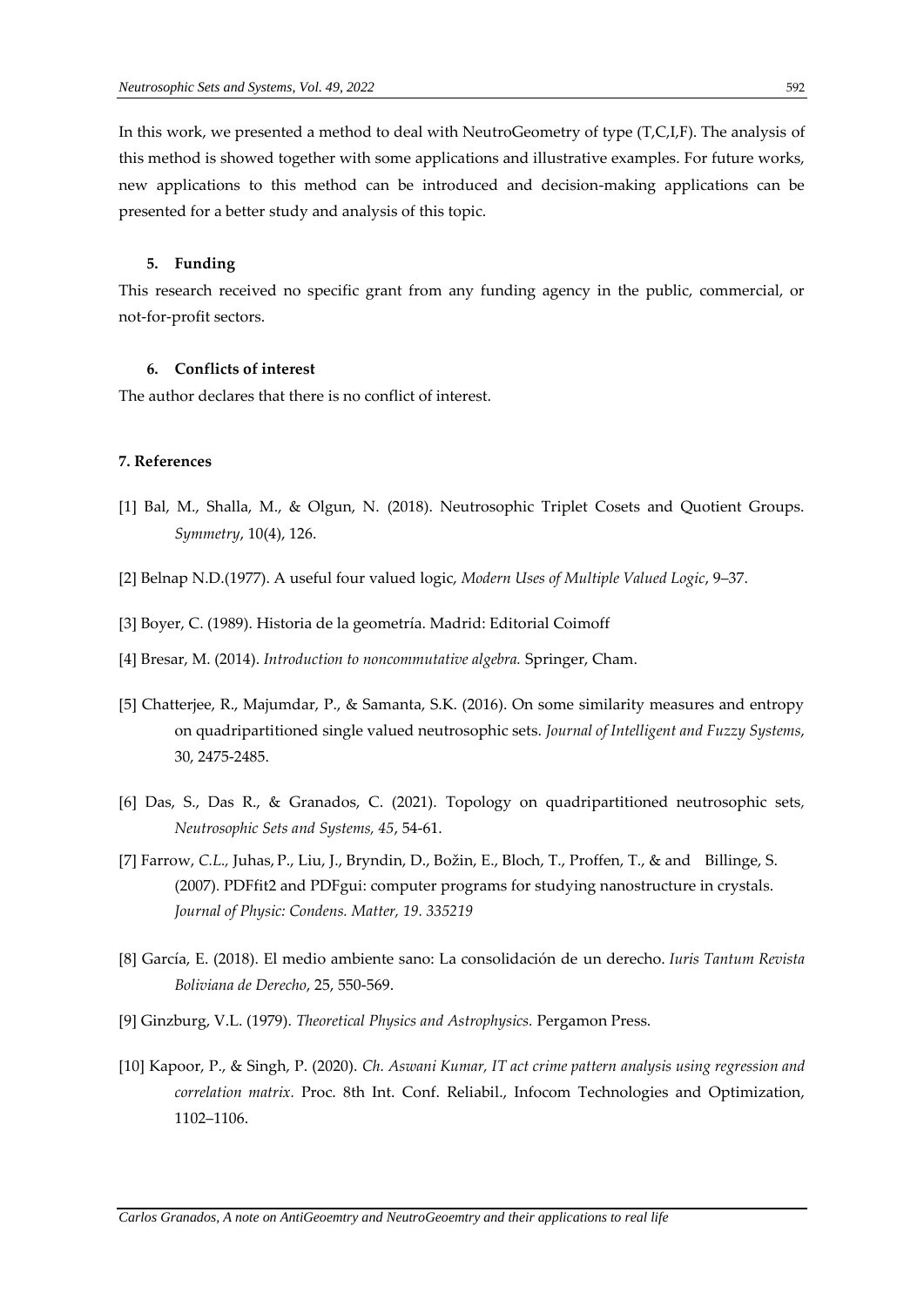In this work, we presented a method to deal with NeutroGeometry of type (T,C,I,F). The analysis of this method is showed together with some applications and illustrative examples. For future works, new applications to this method can be introduced and decision-making applications can be presented for a better study and analysis of this topic.

### **5. Funding**

This research received no specific grant from any funding agency in the public, commercial, or not-for-profit sectors.

### **6. Conflicts of interest**

The author declares that there is no conflict of interest.

### **7. References**

- [1] Bal, M., Shalla, M., & Olgun, N. (2018). Neutrosophic Triplet Cosets and Quotient Groups. *Symmetry*, 10(4), 126.
- [2] Belnap N.D.(1977). A useful four valued logic, *Modern Uses of Multiple Valued Logic*, 9–37.
- [3] Boyer, C. (1989). Historia de la geometría. Madrid: Editorial Coimoff
- [4] Bresar, M. (2014). *Introduction to noncommutative algebra.* Springer, Cham.
- [5] Chatterjee, R., Majumdar, P., & Samanta, S.K. (2016). On some similarity measures and entropy on quadripartitioned single valued neutrosophic sets. *Journal of Intelligent and Fuzzy Systems*, 30, 2475-2485.
- [6] Das, S., Das R., & Granados, C. (2021). Topology on quadripartitioned neutrosophic sets*, Neutrosophic Sets and Systems, 45*, 54-61.
- [7] Farrow, *C.L.,* Juhas, P., Liu, J., Bryndin, D., Božin, E., Bloch, T., Proffen, T., & and Billinge, S. (2007)*.* PDFfit2 and PDFgui: computer programs for studying nanostructure in crystals. *Journal of Physic: Condens. Matter, 19. 335219*
- [8] García, E. (2018). El medio ambiente sano: La consolidación de un derecho. *Iuris Tantum Revista Boliviana de Derecho*, 25, 550-569.
- [9] Ginzburg, V.L. (1979). *Theoretical Physics and Astrophysics.* Pergamon Press.
- [10] Kapoor, P., & Singh, P. (2020). *Ch. Aswani Kumar, IT act crime pattern analysis using regression and correlation matrix.* Proc. 8th Int. Conf. Reliabil., Infocom Technologies and Optimization, 1102–1106.